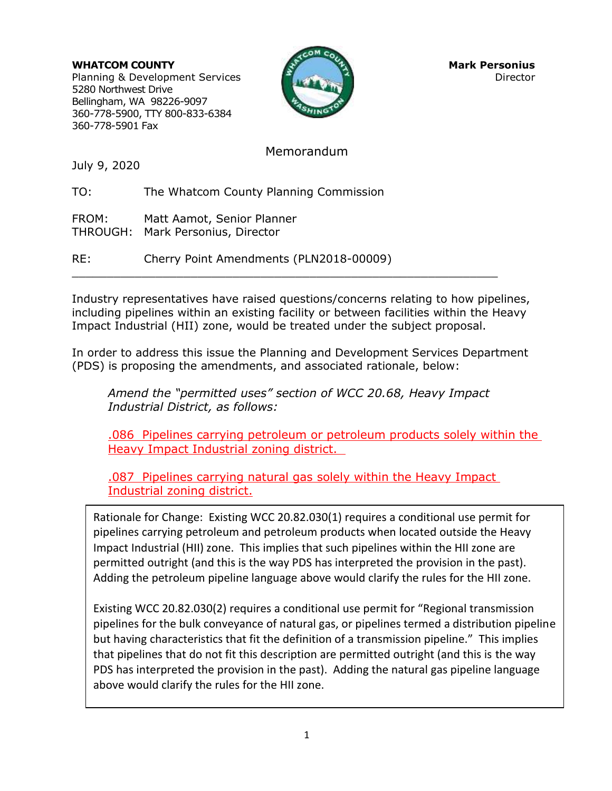**WHATCOM COUNTY COUNTY AND RESOLUTE A PERSONIUS** Planning & Development Services Director Director 5280 Northwest Drive Bellingham, WA 98226-9097 360-778-5900, TTY 800-833-6384 360-778-5901 Fax



## Memorandum

July 9, 2020

TO: The Whatcom County Planning Commission

FROM: Matt Aamot, Senior Planner THROUGH: Mark Personius, Director

RE: Cherry Point Amendments (PLN2018-00009)

Industry representatives have raised questions/concerns relating to how pipelines, including pipelines within an existing facility or between facilities within the Heavy Impact Industrial (HII) zone, would be treated under the subject proposal.

\_\_\_\_\_\_\_\_\_\_\_\_\_\_\_\_\_\_\_\_\_\_\_\_\_\_\_\_\_\_\_\_\_\_\_\_\_\_\_\_\_\_\_\_\_\_\_\_\_\_\_\_\_\_\_\_\_\_\_\_\_

In order to address this issue the Planning and Development Services Department (PDS) is proposing the amendments, and associated rationale, below:

*Amend the "permitted uses" section of WCC 20.68, Heavy Impact Industrial District, as follows:*

.086 Pipelines carrying petroleum or petroleum products solely within the Heavy Impact Industrial zoning district.

.087 Pipelines carrying natural gas solely within the Heavy Impact Industrial zoning district.

Rationale for Change: Existing WCC 20.82.030(1) requires a conditional use permit for pipelines carrying petroleum and petroleum products when located outside the Heavy Impact Industrial (HII) zone. This implies that such pipelines within the HII zone are permitted outright (and this is the way PDS has interpreted the provision in the past). Adding the petroleum pipeline language above would clarify the rules for the HII zone.

Existing WCC 20.82.030(2) requires a conditional use permit for "Regional transmission pipelines for the bulk conveyance of natural gas, or pipelines termed a distribution pipeline but having characteristics that fit the definition of a transmission pipeline." This implies that pipelines that do not fit this description are permitted outright (and this is the way PDS has interpreted the provision in the past). Adding the natural gas pipeline language above would clarify the rules for the HII zone.